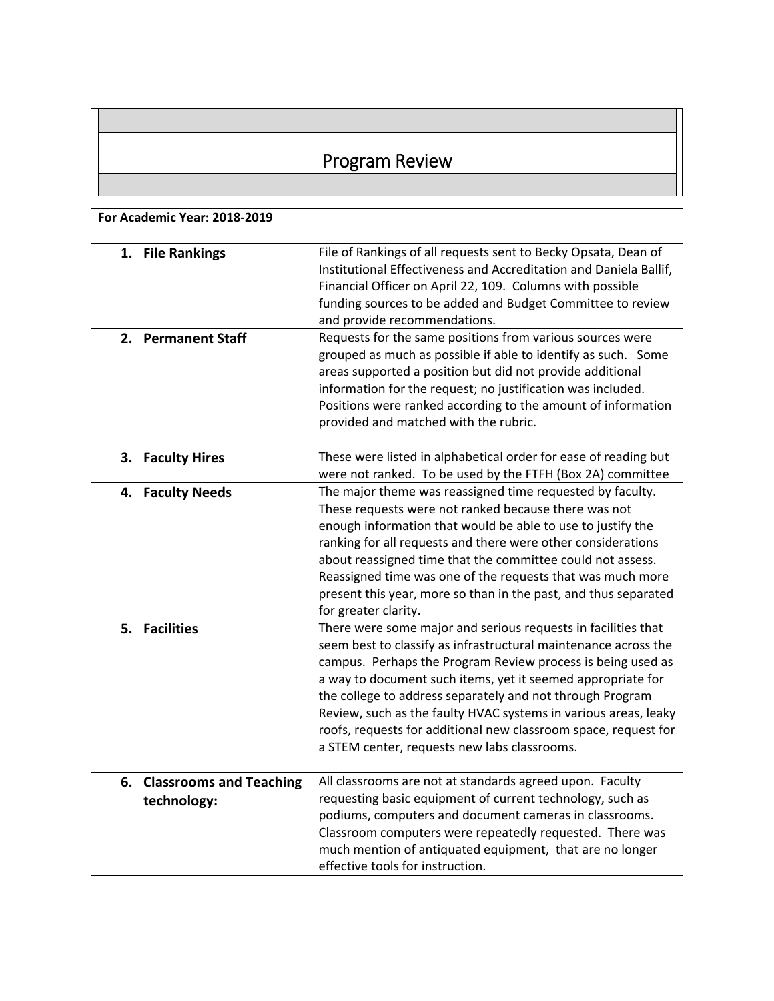## Program Review

| For Academic Year: 2018-2019                        |                                                                                                                                                                                                                                                                                                                                                                                                                                                                                                                   |
|-----------------------------------------------------|-------------------------------------------------------------------------------------------------------------------------------------------------------------------------------------------------------------------------------------------------------------------------------------------------------------------------------------------------------------------------------------------------------------------------------------------------------------------------------------------------------------------|
| 1. File Rankings                                    | File of Rankings of all requests sent to Becky Opsata, Dean of<br>Institutional Effectiveness and Accreditation and Daniela Ballif,<br>Financial Officer on April 22, 109. Columns with possible<br>funding sources to be added and Budget Committee to review<br>and provide recommendations.                                                                                                                                                                                                                    |
| 2. Permanent Staff                                  | Requests for the same positions from various sources were<br>grouped as much as possible if able to identify as such. Some<br>areas supported a position but did not provide additional<br>information for the request; no justification was included.<br>Positions were ranked according to the amount of information<br>provided and matched with the rubric.                                                                                                                                                   |
| 3. Faculty Hires                                    | These were listed in alphabetical order for ease of reading but<br>were not ranked. To be used by the FTFH (Box 2A) committee                                                                                                                                                                                                                                                                                                                                                                                     |
| 4. Faculty Needs                                    | The major theme was reassigned time requested by faculty.<br>These requests were not ranked because there was not<br>enough information that would be able to use to justify the<br>ranking for all requests and there were other considerations<br>about reassigned time that the committee could not assess.<br>Reassigned time was one of the requests that was much more<br>present this year, more so than in the past, and thus separated<br>for greater clarity.                                           |
| 5. Facilities                                       | There were some major and serious requests in facilities that<br>seem best to classify as infrastructural maintenance across the<br>campus. Perhaps the Program Review process is being used as<br>a way to document such items, yet it seemed appropriate for<br>the college to address separately and not through Program<br>Review, such as the faulty HVAC systems in various areas, leaky<br>roofs, requests for additional new classroom space, request for<br>a STEM center, requests new labs classrooms. |
| <b>Classrooms and Teaching</b><br>6.<br>technology: | All classrooms are not at standards agreed upon. Faculty<br>requesting basic equipment of current technology, such as<br>podiums, computers and document cameras in classrooms.<br>Classroom computers were repeatedly requested. There was<br>much mention of antiquated equipment, that are no longer<br>effective tools for instruction.                                                                                                                                                                       |